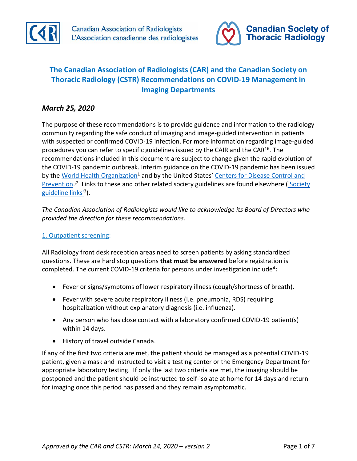



# **The Canadian Association of Radiologists (CAR) and the Canadian Society on Thoracic Radiology (CSTR) Recommendations on COVID-19 Management in Imaging Departments**

# *March 25, 2020*

The purpose of these recommendations is to provide guidance and information to the radiology community regarding the safe conduct of imaging and image-guided intervention in patients with suspected or confirmed COVID-19 infection. For more information regarding image-guided procedures you can refer to specific guidelines issued by the CAIR and the CAR<sup>16</sup>. The recommendations included in this document are subject to change given the rapid evolution of the COVID-19 pandemic outbreak. Interim guidance on the COVID-19 pandemic has been issued by the [World Health Organization](https://www.uptodate.com/external-redirect.do?target_url=http%3A%2F%2Fwww.who.int%2Femergencies%2Fdiseases%2Fnovel-coronavirus-2019%2Ftechnical-guidance&token=6mXYIWRNeGuRBDztc0ikcxTRmOZf6vaC%2B7VbZ0M64QnAE2iAKHxABVITeYAp49YPWxivxqOyzdN0tRoDv84uEsQmxEv6xV6995TcaXBeiAA%3D&TOPIC_ID=126981)<sup>1</sup> and by the United States' Centers for Disease Control and [Prevention.](https://www.uptodate.com/external-redirect.do?target_url=http%3A%2F%2Fwww.cdc.gov%2Fcoronavirus%2F2019-nCoV%2Fhcp%2Findex.html&token=mjmpv7xMHRIW2nr%2B3NCnsX5Ptv2cRVLRLymlbY85ZNQrxNS2yuFucVdm636EWxhTiRRknog9VFQ2%2FYHPy%2FCIWw%3D%3D&TOPIC_ID=126981)<sup>,2</sup> Links to these and other related society guidelines are found elsewhere (Society [guideline links'](https://www.uptodate.com/contents/coronavirus-disease-2019-covid-19#H2513094760)<sup>3</sup>).

*The Canadian Association of Radiologists would like to acknowledge its Board of Directors who provided the direction for these recommendations.* 

# 1. Outpatient screening:

All Radiology front desk reception areas need to screen patients by asking standardized questions. These are hard stop questions **that must be answered** before registration is completed. The current COVID-19 criteria for persons under investigation include<sup>4</sup>:

- Fever or signs/symptoms of lower respiratory illness (cough/shortness of breath).
- Fever with severe acute respiratory illness (i.e. pneumonia, RDS) requiring hospitalization without explanatory diagnosis (i.e. influenza).
- Any person who has close contact with a laboratory confirmed COVID-19 patient(s) within 14 days.
- History of travel outside Canada.

If any of the first two criteria are met, the patient should be managed as a potential COVID-19 patient, given a mask and instructed to visit a testing center or the Emergency Department for appropriate laboratory testing. If only the last two criteria are met, the imaging should be postponed and the patient should be instructed to self-isolate at home for 14 days and return for imaging once this period has passed and they remain asymptomatic.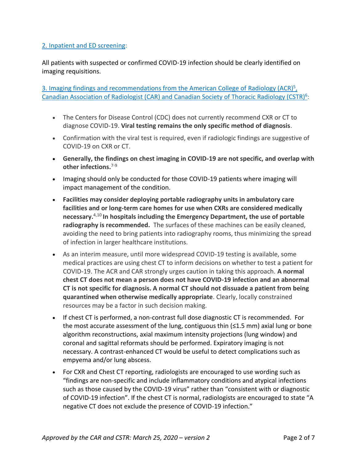### 2. Inpatient and ED screening:

All patients with suspected or confirmed COVID-19 infection should be clearly identified on imaging requisitions.

3. Imaging findings and recommendations from the American College of Radiology (ACR)<sup>5</sup>, Canadian Association of Radiologist (CAR) and Canadian Society of Thoracic Radiology (CSTR)<sup>6</sup>:

- The Centers for Disease Control (CDC) does not currently recommend CXR or CT to diagnose COVID-19. **Viral testing remains the only specific method of diagnosis**.
- Confirmation with the viral test is required, even if radiologic findings are suggestive of COVID-19 on CXR or CT.
- **Generally, the findings on chest imaging in COVID-19 are not specific, and overlap with other infections.** 7-9
- Imaging should only be conducted for those COVID-19 patients where imaging will impact management of the condition.
- **Facilities may consider deploying portable radiography units in ambulatory care facilities and or long-term care homes for use when CXRs are considered medically necessary.**4,10 **In hospitals including the Emergency Department, the use of portable radiography is recommended.** The surfaces of these machines can be easily cleaned, avoiding the need to bring patients into radiography rooms, thus minimizing the spread of infection in larger healthcare institutions.
- As an interim measure, until more widespread COVID-19 testing is available, some medical practices are using chest CT to inform decisions on whether to test a patient for COVID-19. The ACR and CAR strongly urges caution in taking this approach. **A normal chest CT does not mean a person does not have COVID-19 infection and an abnormal CT is not specific for diagnosis. A normal CT should not dissuade a patient from being quarantined when otherwise medically appropriate**. Clearly, locally constrained resources may be a factor in such decision making.
- If chest CT is performed, a non-contrast full dose diagnostic CT is recommended. For the most accurate assessment of the lung, contiguous thin (≤1.5 mm) axial lung or bone algorithm reconstructions, axial maximum intensity projections (lung window) and coronal and sagittal reformats should be performed. Expiratory imaging is not necessary. A contrast-enhanced CT would be useful to detect complications such as empyema and/or lung abscess.
- For CXR and Chest CT reporting, radiologists are encouraged to use wording such as "findings are non-specific and include inflammatory conditions and atypical infections such as those caused by the COVID-19 virus" rather than "consistent with or diagnostic of COVID-19 infection". If the chest CT is normal, radiologists are encouraged to state "A negative CT does not exclude the presence of COVID-19 infection."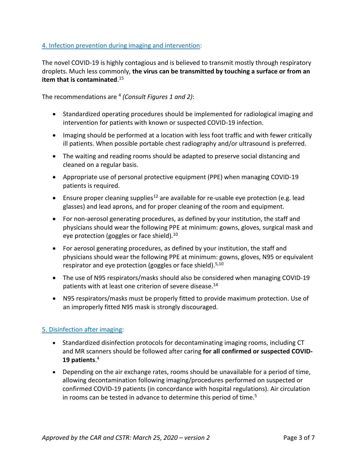### 4. Infection prevention during imaging and intervention:

The novel COVID-19 is highly contagious and is believed to transmit mostly through respiratory droplets. Much less commonly, **the virus can be transmitted by touching a surface or from an item that is contaminated**. 15

The recommendations are <sup>4</sup> *(Consult Figures 1 and 2)*:

- Standardized operating procedures should be implemented for radiological imaging and intervention for patients with known or suspected COVID-19 infection.
- Imaging should be performed at a location with less foot traffic and with fewer critically ill patients. When possible portable chest radiography and/or ultrasound is preferred.
- The waiting and reading rooms should be adapted to preserve social distancing and cleaned on a regular basis.
- Appropriate use of personal protective equipment (PPE) when managing COVID-19 patients is required.
- Ensure proper cleaning supplies<sup>12</sup> are available for re-usable eye protection (e.g. lead glasses) and lead aprons, and for proper cleaning of the room and equipment.
- For non-aerosol generating procedures, as defined by your institution, the staff and physicians should wear the following PPE at minimum: gowns, gloves, surgical mask and eye protection (goggles or face shield).<sup>10</sup>
- For aerosol generating procedures, as defined by your institution, the staff and physicians should wear the following PPE at minimum: gowns, gloves, N95 or equivalent respirator and eye protection (goggles or face shield).<sup>5,10</sup>
- The use of N95 respirators/masks should also be considered when managing COVID-19 patients with at least one criterion of severe disease.<sup>14</sup>
- N95 respirators/masks must be properly fitted to provide maximum protection. Use of an improperly fitted N95 mask is strongly discouraged.

# 5. Disinfection after imaging:

- Standardized disinfection protocols for decontaminating imaging rooms, including CT and MR scanners should be followed after caring **for all confirmed or suspected COVID-19 patients**. 4
- Depending on the air exchange rates, rooms should be unavailable for a period of time, allowing decontamination following imaging/procedures performed on suspected or confirmed COVID-19 patients (in concordance with hospital regulations). Air circulation in rooms can be tested in advance to determine this period of time.<sup>5</sup>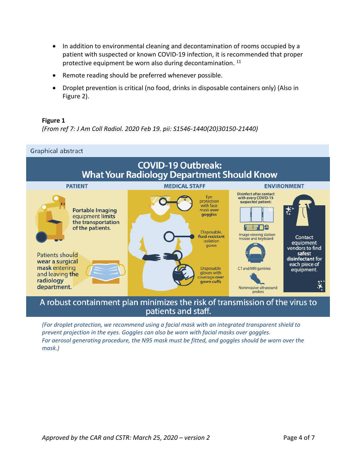- In addition to environmental cleaning and decontamination of rooms occupied by a patient with suspected or known COVID-19 infection, it is recommended that proper protective equipment be worn also during decontamination. <sup>11</sup>
- Remote reading should be preferred whenever possible.
- Droplet prevention is critical (no food, drinks in disposable containers only) (Also in Figure 2).

### **Figure 1**

*(From ref 7: J Am Coll Radiol. 2020 Feb 19. pii: S1546-1440(20)30150-21440)*



# A robust containment plan minimizes the risk of transmission of the virus to patients and staff.

*(For droplet protection, we recommend using a facial mask with an integrated transparent shield to prevent projection in the eyes. Goggles can also be worn with facial masks over goggles. For aerosol generating procedure, the N95 mask must be fitted, and goggles should be worn over the mask.)*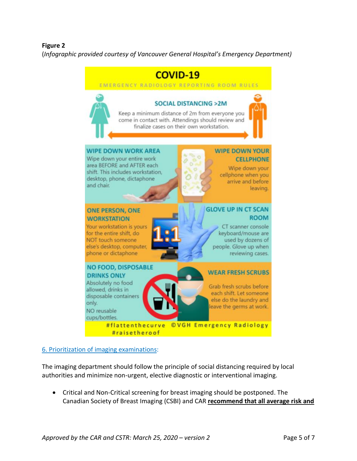### **Figure 2**

(*Infographic provided courtesy of Vancouver General Hospital's Emergency Department)*



#### 6. Prioritization of imaging examinations:

The imaging department should follow the principle of social distancing required by local authorities and minimize non-urgent, elective diagnostic or interventional imaging.

• Critical and Non-Critical screening for breast imaging should be postponed. The Canadian Society of Breast Imaging (CSBI) and CAR **recommend that all average risk and**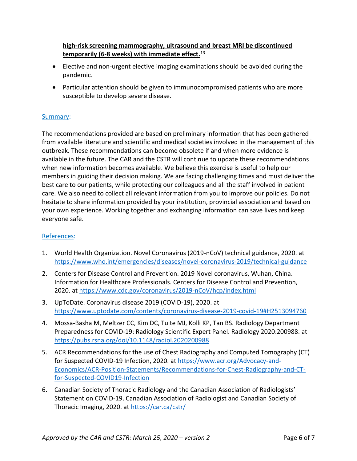### **high-risk screening mammography, ultrasound and breast MRI be discontinued temporarily (6-8 weeks) with immediate effect.**<sup>13</sup>

- Elective and non-urgent elective imaging examinations should be avoided during the pandemic.
- Particular attention should be given to immunocompromised patients who are more susceptible to develop severe disease.

# Summary:

The recommendations provided are based on preliminary information that has been gathered from available literature and scientific and medical societies involved in the management of this outbreak. These recommendations can become obsolete if and when more evidence is available in the future. The CAR and the CSTR will continue to update these recommendations when new information becomes available. We believe this exercise is useful to help our members in guiding their decision making. We are facing challenging times and must deliver the best care to our patients, while protecting our colleagues and all the staff involved in patient care. We also need to collect all relevant information from you to improve our policies. Do not hesitate to share information provided by your institution, provincial association and based on your own experience. Working together and exchanging information can save lives and keep everyone safe.

# References:

- 1. World Health Organization. Novel Coronavirus (2019-nCoV) technical guidance, 2020. at <https://www.who.int/emergencies/diseases/novel-coronavirus-2019/technical-guidance>
- 2. Centers for Disease Control and Prevention. 2019 Novel coronavirus, Wuhan, China. Information for Healthcare Professionals. Centers for Disease Control and Prevention, 2020. at <https://www.cdc.gov/coronavirus/2019-nCoV/hcp/index.html>
- 3. UpToDate. Coronavirus disease 2019 (COVID-19), 2020. at <https://www.uptodate.com/contents/coronavirus-disease-2019-covid-19#H2513094760>
- 4. Mossa-Basha M, Meltzer CC, Kim DC, Tuite MJ, Kolli KP, Tan BS. Radiology Department Preparedness for COVID-19: Radiology Scientific Expert Panel. Radiology 2020:200988. at <https://pubs.rsna.org/doi/10.1148/radiol.2020200988>
- 5. ACR Recommendations for the use of Chest Radiography and Computed Tomography (CT) for Suspected COVID-19 Infection, 2020. at [https://www.acr.org/Advocacy-and-](https://www.acr.org/Advocacy-and-Economics/ACR-Position-Statements/Recommendations-for-Chest-Radiography-and-CT-for-Suspected-COVID19-Infection)[Economics/ACR-Position-Statements/Recommendations-for-Chest-Radiography-and-CT](https://www.acr.org/Advocacy-and-Economics/ACR-Position-Statements/Recommendations-for-Chest-Radiography-and-CT-for-Suspected-COVID19-Infection)[for-Suspected-COVID19-Infection](https://www.acr.org/Advocacy-and-Economics/ACR-Position-Statements/Recommendations-for-Chest-Radiography-and-CT-for-Suspected-COVID19-Infection)
- 6. Canadian Society of Thoracic Radiology and the Canadian Association of Radiologists' Statement on COVID-19. Canadian Association of Radiologist and Canadian Society of Thoracic Imaging, 2020. at <https://car.ca/cstr/>